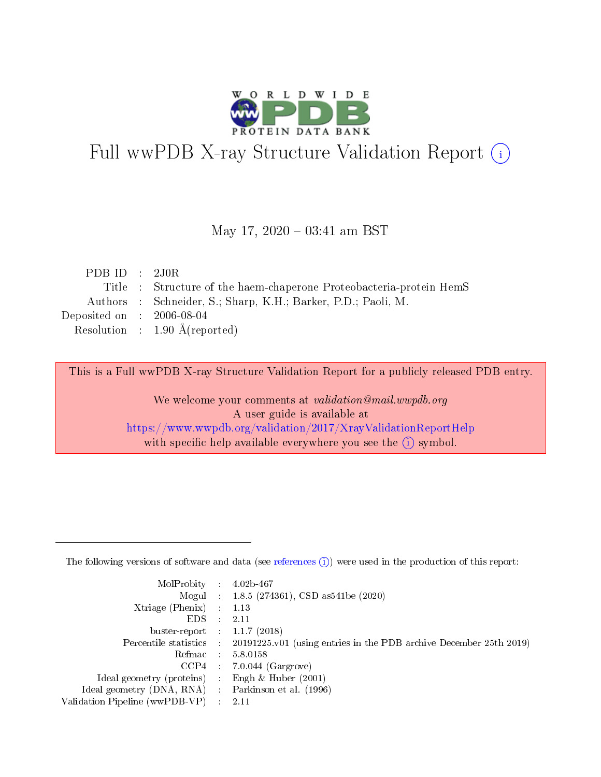

# Full wwPDB X-ray Structure Validation Report (i)

#### May 17,  $2020 - 03:41$  am BST

| PDB ID : $2J0R$             |                                                                     |
|-----------------------------|---------------------------------------------------------------------|
|                             | Title : Structure of the haem-chaperone Proteobacteria-protein HemS |
|                             | Authors : Schneider, S.; Sharp, K.H.; Barker, P.D.; Paoli, M.       |
| Deposited on : $2006-08-04$ |                                                                     |
|                             | Resolution : $1.90 \text{ Å}$ (reported)                            |

This is a Full wwPDB X-ray Structure Validation Report for a publicly released PDB entry.

We welcome your comments at validation@mail.wwpdb.org A user guide is available at <https://www.wwpdb.org/validation/2017/XrayValidationReportHelp> with specific help available everywhere you see the  $(i)$  symbol.

The following versions of software and data (see [references](https://www.wwpdb.org/validation/2017/XrayValidationReportHelp#references)  $(1)$ ) were used in the production of this report:

| MolProbity :                   |               | $4.02b - 467$                                                               |
|--------------------------------|---------------|-----------------------------------------------------------------------------|
|                                |               | Mogul : $1.8.5$ (274361), CSD as 541be (2020)                               |
| $X$ triage (Phenix) :          |               | 1.13                                                                        |
| EDS.                           |               | 2.11                                                                        |
| buster-report : $1.1.7$ (2018) |               |                                                                             |
| Percentile statistics :        |               | $20191225 \text{v}01$ (using entries in the PDB archive December 25th 2019) |
| Refmac :                       |               | 5.8.0158                                                                    |
| $CCP4$ :                       |               | $7.0.044$ (Gargrove)                                                        |
| Ideal geometry (proteins) :    |               | Engh $\&$ Huber (2001)                                                      |
| Ideal geometry (DNA, RNA) :    |               | Parkinson et al. (1996)                                                     |
| Validation Pipeline (wwPDB-VP) | $\mathcal{L}$ | 2.11                                                                        |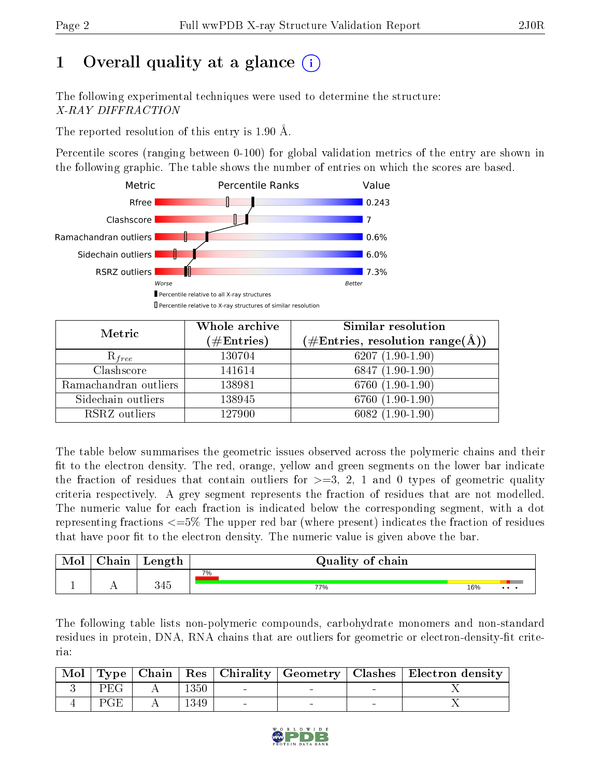## 1 [O](https://www.wwpdb.org/validation/2017/XrayValidationReportHelp#overall_quality)verall quality at a glance  $(i)$

The following experimental techniques were used to determine the structure: X-RAY DIFFRACTION

The reported resolution of this entry is 1.90 Å.

Percentile scores (ranging between 0-100) for global validation metrics of the entry are shown in the following graphic. The table shows the number of entries on which the scores are based.



| Metric                | Whole archive<br>$(\#\mathrm{Entries})$ | Similar resolution<br>$(\#\text{Entries}, \text{resolution range}(\text{\AA}))$ |
|-----------------------|-----------------------------------------|---------------------------------------------------------------------------------|
| $R_{free}$            | 130704                                  | $6207(1.90-1.90)$                                                               |
| Clashscore            | 141614                                  | $6847(1.90-1.90)$                                                               |
| Ramachandran outliers | 138981                                  | $6760(1.90-1.90)$                                                               |
| Sidechain outliers    | 138945                                  | 6760 (1.90-1.90)                                                                |
| RSRZ outliers         | 127900                                  | $6082(1.90-1.90)$                                                               |

The table below summarises the geometric issues observed across the polymeric chains and their fit to the electron density. The red, orange, yellow and green segments on the lower bar indicate the fraction of residues that contain outliers for  $>=3, 2, 1$  and 0 types of geometric quality criteria respectively. A grey segment represents the fraction of residues that are not modelled. The numeric value for each fraction is indicated below the corresponding segment, with a dot representing fractions <=5% The upper red bar (where present) indicates the fraction of residues that have poor fit to the electron density. The numeric value is given above the bar.

| Mol | $\cap$ hain | Length     | Quality of chain |     |          |
|-----|-------------|------------|------------------|-----|----------|
|     |             |            | 7%               |     |          |
|     | . .         | 94に<br>しせい | 77%              | 16% | $\cdots$ |

The following table lists non-polymeric compounds, carbohydrate monomers and non-standard residues in protein, DNA, RNA chains that are outliers for geometric or electron-density-fit criteria:

|                     |        |  | Mol   Type   Chain   Res   Chirality   Geometry   Clashes   Electron density |
|---------------------|--------|--|------------------------------------------------------------------------------|
| $PEG +$             | $1350$ |  |                                                                              |
| $\perp$ PGE $\perp$ | 1349   |  |                                                                              |

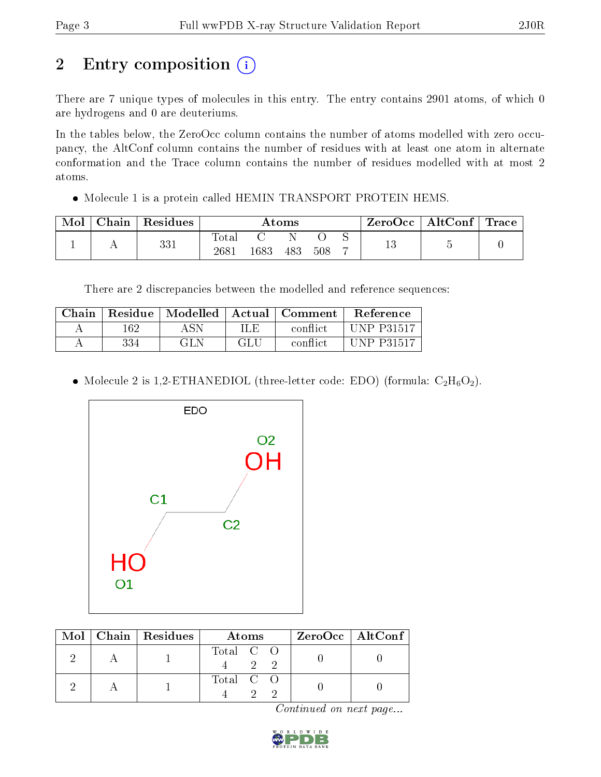## 2 Entry composition (i)

There are 7 unique types of molecules in this entry. The entry contains 2901 atoms, of which 0 are hydrogens and 0 are deuteriums.

In the tables below, the ZeroOcc column contains the number of atoms modelled with zero occupancy, the AltConf column contains the number of residues with at least one atom in alternate conformation and the Trace column contains the number of residues modelled with at most 2 atoms.

• Molecule 1 is a protein called HEMIN TRANSPORT PROTEIN HEMS.

| Mol | $\overline{\phantom{a}}$ Chain $\overline{\phantom{a}}$ | $\perp$ Residues | Atoms                    |      |     |     | $\rm ZeroOcc$   Alt $\rm Conf$   Trace |  |  |
|-----|---------------------------------------------------------|------------------|--------------------------|------|-----|-----|----------------------------------------|--|--|
|     |                                                         | 331              | <b>Total</b><br>$2681\,$ | 1683 | 483 | 508 |                                        |  |  |

There are 2 discrepancies between the modelled and reference sequences:

| Chain |     |      |      | Residue   Modelled   Actual   Comment | Reference         |
|-------|-----|------|------|---------------------------------------|-------------------|
|       | 162 | ASN. | ILE. | conflict                              | <b>UNP P31517</b> |
|       | 334 | GLN  | GL U | conflict                              | <b>UNP P31517</b> |

• Molecule 2 is 1,2-ETHANEDIOL (three-letter code: EDO) (formula:  $C_2H_6O_2$ ).



|  | $Mol$   Chain   Residues | Atoms              | $ZeroOcc \   \$ AltConf |
|--|--------------------------|--------------------|-------------------------|
|  |                          | Total C O<br>$2 -$ |                         |
|  |                          | Total C O          |                         |

Continued on next page...

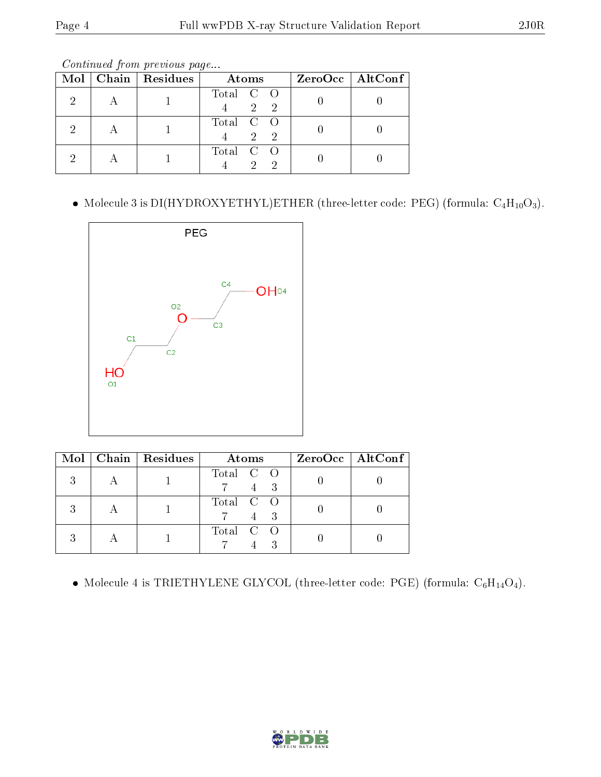Continued from previous page...

|  | Mol   Chain   Residues | Atoms                          | $ZeroOcc \   \$ AltConf |
|--|------------------------|--------------------------------|-------------------------|
|  |                        | Total C O<br>$\overline{2}$    |                         |
|  |                        | Total C O<br>$2^{\circ}$<br>-2 |                         |
|  |                        | Total C O<br>$\mathcal{D}$     |                         |

 $\bullet\,$  Molecule 3 is DI(HYDROXYETHYL)ETHER (three-letter code: PEG) (formula:  $\rm{C_4H_{10}O_3}).$ 



|  | Mol   Chain   Residues | Atoms     | $ZeroOcc \   \$ AltConf |
|--|------------------------|-----------|-------------------------|
|  |                        | Total C O |                         |
|  |                        | Total C O |                         |
|  |                        | Total C O |                         |

 $\bullet$  Molecule 4 is TRIETHYLENE GLYCOL (three-letter code: PGE) (formula:  $\mathrm{C}_6\mathrm{H}_{14}\mathrm{O}_4).$ 

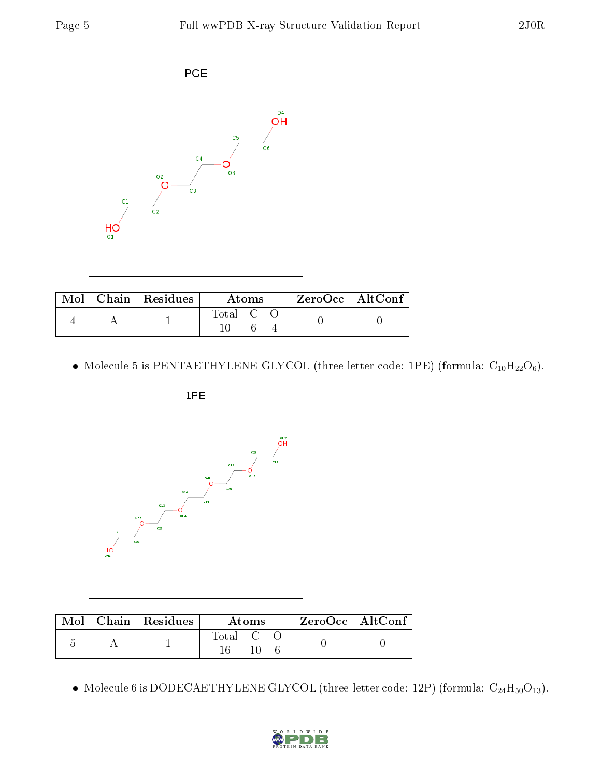

|  | $\text{Mol}$   Chain   Residues | Atoms                                                   | ZeroOcc   AltConf |
|--|---------------------------------|---------------------------------------------------------|-------------------|
|  |                                 | $\begin{bmatrix} \text{Total} & \text{C} \end{bmatrix}$ |                   |

 $\bullet$  Molecule 5 is PENTAETHYLENE GLYCOL (three-letter code: 1PE) (formula:  $\mathrm{C}_{10}\mathrm{H}_{22}\mathrm{O}_6).$ 



|  | Mol   Chain   Residues | Atoms   |  |  | ZeroOcc   AltConf |  |
|--|------------------------|---------|--|--|-------------------|--|
|  |                        | Total C |  |  |                   |  |

 $\bullet$  Molecule 6 is DODECAETHYLENE GLYCOL (three-letter code: 12P) (formula:  $\rm{C_{24}H_{50}O_{13}}$ ).

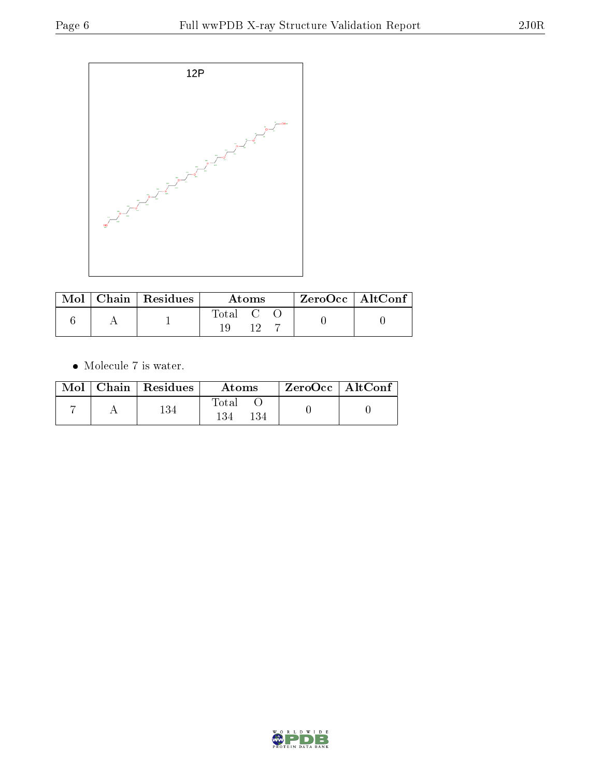

|  | $\mid$ Mol $\mid$ Chain $\mid$ Residues $\mid$ | Atoms   |  | $\mid$ ZeroOcc $\mid$ AltConf $\mid$ |  |  |
|--|------------------------------------------------|---------|--|--------------------------------------|--|--|
|  |                                                | Total C |  |                                      |  |  |
|  |                                                |         |  |                                      |  |  |

 $\bullet\,$  Molecule 7 is water.

| Mol | $\mid$ Chain $\mid$ Residues | Atoms               | $ZeroOcc \mid AltConf$ |  |
|-----|------------------------------|---------------------|------------------------|--|
|     | 134                          | Total<br>134<br>134 |                        |  |

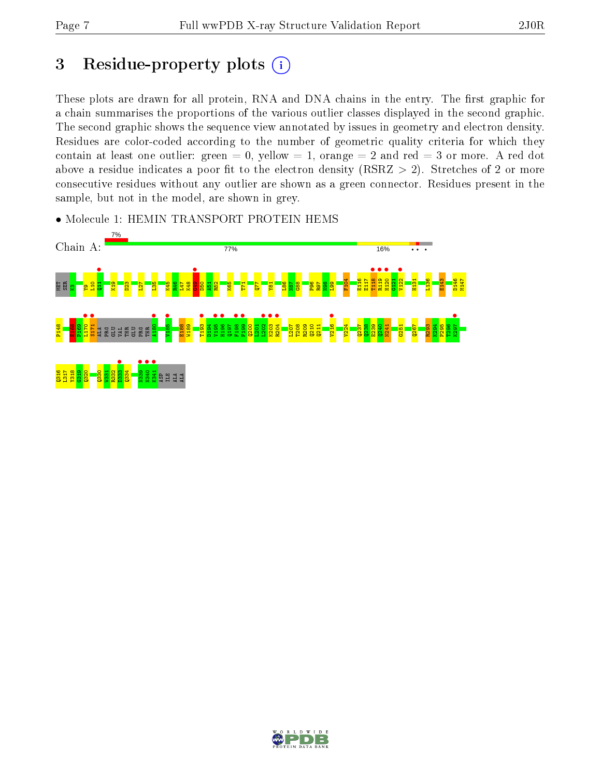### 3 Residue-property plots  $(i)$

These plots are drawn for all protein, RNA and DNA chains in the entry. The first graphic for a chain summarises the proportions of the various outlier classes displayed in the second graphic. The second graphic shows the sequence view annotated by issues in geometry and electron density. Residues are color-coded according to the number of geometric quality criteria for which they contain at least one outlier: green  $= 0$ , yellow  $= 1$ , orange  $= 2$  and red  $= 3$  or more. A red dot above a residue indicates a poor fit to the electron density (RSRZ  $> 2$ ). Stretches of 2 or more consecutive residues without any outlier are shown as a green connector. Residues present in the sample, but not in the model, are shown in grey.



• Molecule 1: HEMIN TRANSPORT PROTEIN HEMS

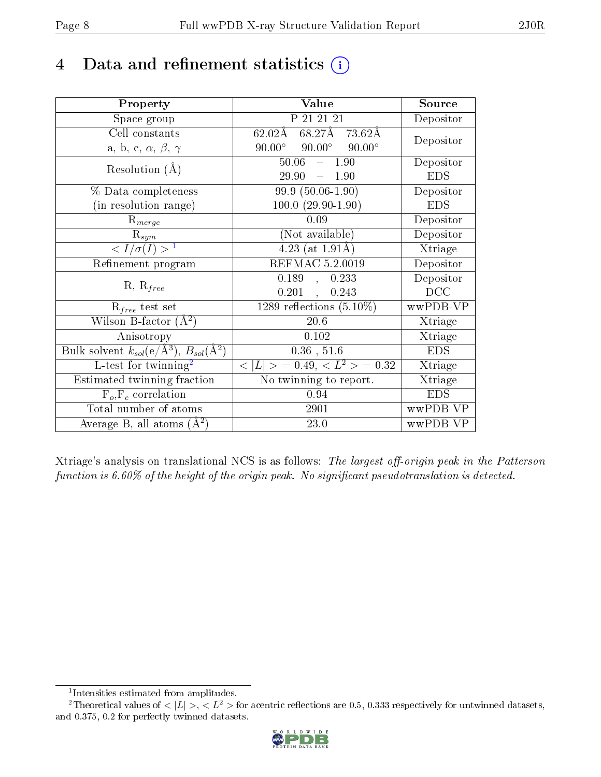### 4 Data and refinement statistics  $(i)$

| Property                                                                 | Value                                           | Source     |
|--------------------------------------------------------------------------|-------------------------------------------------|------------|
| Space group                                                              | P 21 21 21                                      | Depositor  |
| Cell constants                                                           | $68.27$ Å $73.62$ Å<br>$62.02\text{\AA}$        |            |
| a, b, c, $\alpha$ , $\beta$ , $\gamma$                                   | $90.00^\circ$<br>$90.00^\circ$<br>$90.00^\circ$ | Depositor  |
| Resolution $(A)$                                                         | 50.06<br>$-1.90$                                | Depositor  |
|                                                                          | 29.90<br>$\equiv$ .<br>1.90                     | <b>EDS</b> |
| $%$ Data completeness                                                    | $99.9(50.06-1.90)$                              | Depositor  |
| (in resolution range)                                                    | $100.0 (29.90 - 1.90)$                          | <b>EDS</b> |
| $R_{merge}$                                                              | 0.09                                            | Depositor  |
| $\mathrm{R}_{sym}$                                                       | (Not available)                                 | Depositor  |
| $\langle I/\sigma(I) \rangle^{-1}$                                       | 4.23 (at $1.91\text{\AA}$ )                     | Xtriage    |
| Refinement program                                                       | REFMAC 5.2.0019                                 | Depositor  |
| $R, R_{free}$                                                            | 0.189<br>0.233<br>$\frac{1}{2}$                 | Depositor  |
|                                                                          | 0.201<br>0.243<br>$\mathbf{r}$                  | DCC        |
| $\mathcal{R}_{free}$ test set                                            | 1289 reflections $(5.10\%)$                     | wwPDB-VP   |
| Wilson B-factor $(A^2)$                                                  | 20.6                                            | Xtriage    |
| Anisotropy                                                               | 0.102                                           | Xtriage    |
| Bulk solvent $k_{sol}(\mathrm{e}/\mathrm{A}^3),$ $B_{sol}(\mathrm{A}^2)$ | $0.36$ , $51.6$                                 | <b>EDS</b> |
| L-test for twinning <sup>2</sup>                                         | $< L >$ = 0.49, $< L2$ > = 0.32                 | Xtriage    |
| Estimated twinning fraction                                              | $\overline{\text{No}}$ twinning to report.      | Xtriage    |
| $F_o, F_c$ correlation                                                   | 0.94                                            | <b>EDS</b> |
| Total number of atoms                                                    | 2901                                            | wwPDB-VP   |
| Average B, all atoms $(A^2)$                                             | 23.0                                            | wwPDB-VP   |

Xtriage's analysis on translational NCS is as follows: The largest off-origin peak in the Patterson function is  $6.60\%$  of the height of the origin peak. No significant pseudotranslation is detected.

<sup>&</sup>lt;sup>2</sup>Theoretical values of  $\langle |L| \rangle$ ,  $\langle L^2 \rangle$  for acentric reflections are 0.5, 0.333 respectively for untwinned datasets, and 0.375, 0.2 for perfectly twinned datasets.



<span id="page-7-1"></span><span id="page-7-0"></span><sup>1</sup> Intensities estimated from amplitudes.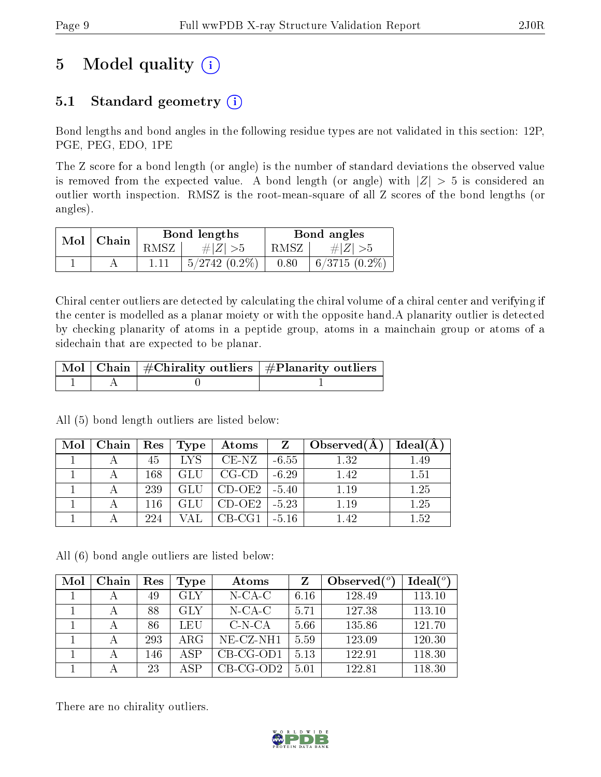## 5 Model quality  $(i)$

### 5.1 Standard geometry  $(i)$

Bond lengths and bond angles in the following residue types are not validated in this section: 12P, PGE, PEG, EDO, 1PE

The Z score for a bond length (or angle) is the number of standard deviations the observed value is removed from the expected value. A bond length (or angle) with  $|Z| > 5$  is considered an outlier worth inspection. RMSZ is the root-mean-square of all Z scores of the bond lengths (or angles).

|  | $Mol$   Chain |        | Bond lengths     | Bond angles    |                 |
|--|---------------|--------|------------------|----------------|-----------------|
|  |               | RMSZ I | # $ Z  > 5$      | $RMSZ_{\perp}$ | $\# Z  > 5$     |
|  |               |        | $+5/2742(0.2\%)$ | 0.80           | $6/3715(0.2\%)$ |

Chiral center outliers are detected by calculating the chiral volume of a chiral center and verifying if the center is modelled as a planar moiety or with the opposite hand.A planarity outlier is detected by checking planarity of atoms in a peptide group, atoms in a mainchain group or atoms of a sidechain that are expected to be planar.

|  | $\mid$ Mol $\mid$ Chain $\mid$ #Chirality outliers $\mid$ #Planarity outliers $\mid$ |
|--|--------------------------------------------------------------------------------------|
|  |                                                                                      |

| Mol | Chain | $\operatorname{Res}$ | Type                            | Atoms    | Z       | Observed $(A)$ | Ideal(A) |
|-----|-------|----------------------|---------------------------------|----------|---------|----------------|----------|
|     |       | 45                   | $\overline{\text{L} \text{YS}}$ | $CE-NZ$  | $-6.55$ | 1.32           | 1.49     |
|     |       | 168                  | <b>GLU</b>                      | $CG-CD$  | $-6.29$ | 1.42           | 1.51     |
|     |       | 239                  | GLU                             | $CD-OE2$ | $-5.40$ | 1.19           | 1.25     |
|     |       | 116                  | <b>GLU</b>                      | $CD-OE2$ | $-5.23$ | 1.19           | 1.25     |
|     |       | 224                  |                                 | $CB-CG1$ | $-5.16$ | 1.42           | 1.52     |

All (5) bond length outliers are listed below:

All (6) bond angle outliers are listed below:

| Mol | Chain | Res | Type       | Atoms       | Z    | Observed $(°)$ | $Ideal(^o)$ |
|-----|-------|-----|------------|-------------|------|----------------|-------------|
|     |       | 49  | GLY        | $N$ -CA-C   | 6.16 | 128.49         | 113.10      |
|     |       | 88  | GLY        | $N$ -CA-C   | 5.71 | 127.38         | 113.10      |
|     |       | 86  | LEU        | $C-N-CA$    | 5.66 | 135.86         | 121.70      |
|     |       | 293 | $\rm{ARG}$ | NE-CZ-NH1   | 5.59 | 123.09         | 120.30      |
|     |       | 146 | A SP       | $CB-CG-OD1$ | 5.13 | 122.91         | 118.30      |
|     |       | 23  | A SP       | $CB-CG-OD2$ | 5.01 | 122.81         | 118.30      |

There are no chirality outliers.

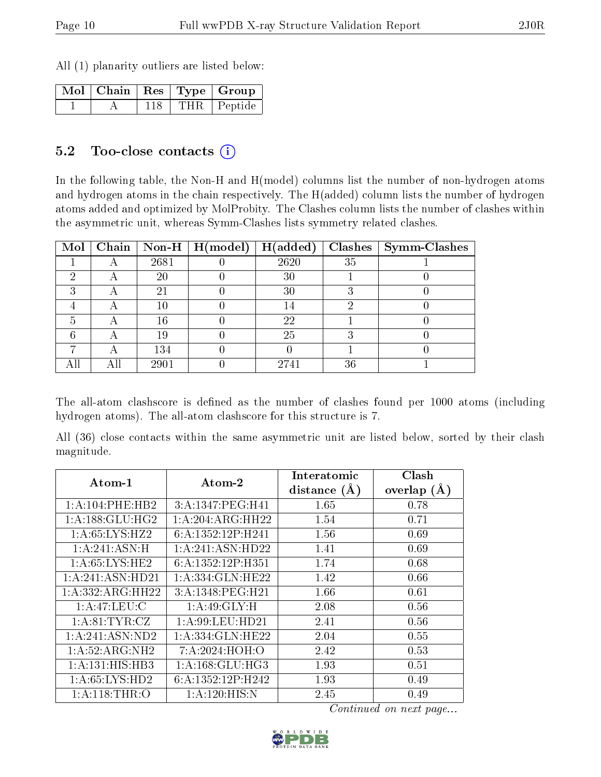All (1) planarity outliers are listed below:

|  |     | $\overline{\text{Mol}}$   Chain   Res   Type   Group |
|--|-----|------------------------------------------------------|
|  | 118 | THR Peptide                                          |

#### 5.2 Too-close contacts  $(i)$

In the following table, the Non-H and H(model) columns list the number of non-hydrogen atoms and hydrogen atoms in the chain respectively. The H(added) column lists the number of hydrogen atoms added and optimized by MolProbity. The Clashes column lists the number of clashes within the asymmetric unit, whereas Symm-Clashes lists symmetry related clashes.

| Mol |   |      | Chain   Non-H   $H (model)$ | H(added) |    | $Clashes$   Symm-Clashes |
|-----|---|------|-----------------------------|----------|----|--------------------------|
|     |   | 2681 |                             | 2620     | 35 |                          |
|     | Η | 20   |                             | 30       |    |                          |
|     | Η | 21   |                             | 30       |    |                          |
|     |   | 10   |                             | 14       |    |                          |
| 5   |   | 16   |                             | 22       |    |                          |
|     |   | 19   |                             | 25       |    |                          |
|     |   | 134  |                             |          |    |                          |
|     |   | 2901 |                             | 2741     | 36 |                          |

The all-atom clashscore is defined as the number of clashes found per 1000 atoms (including hydrogen atoms). The all-atom clashscore for this structure is 7.

All (36) close contacts within the same asymmetric unit are listed below, sorted by their clash magnitude.

| Atom-1              | $\boldsymbol{\mathrm{Atom}\text{-}2}$ | Interatomic<br>distance $(A)$ | Clash<br>overlap $(A)$ |
|---------------------|---------------------------------------|-------------------------------|------------------------|
| 1: A:104:PHE:HB2    | 3:A:1347:PEG:H41                      | 1.65                          | 0.78                   |
| 1: A: 188: GLU: HG2 | 1:A:204:ARG:HH22                      | 1.54                          | 0.71                   |
| 1: A:65: LYS: HZ2   | 6:A:1352:12P:H241                     | 1.56                          | 0.69                   |
| 1:A:241:ASN:H       | 1:A:241:ASN:HD22                      | 1.41                          | 0.69                   |
| 1: A:65:LYS:HE2     | 6:A:1352:12P:H351                     | 1.74                          | 0.68                   |
| 1:A:241:ASN:HD21    | 1:A:334:GLN:HE22                      | 1.42                          | 0.66                   |
| 1:A:332:ARG:HH22    | 3:A:1348:PEG:H21                      | 1.66                          | 0.61                   |
| 1:A:47:LEU:C        | $1:A:49:GLY:\overline{H}$             | 2.08                          | 0.56                   |
| 1: A:81:TYR:CZ      | 1: A:99: LEU: HD21                    | 2.41                          | 0.56                   |
| 1: A:241: ASN:ND2   | 1: A: 334: GLN: HE22                  | 2.04                          | 0.55                   |
| 1: A:52: ARG: NH2   | 7: A:2024: HOH:O                      | 2.42                          | 0.53                   |
| 1:A:131:HIS:HB3     | 1: A: 168: GLU: HG3                   | 1.93                          | 0.51                   |
| 1: A:65: LYS: HD2   | 6:A:1352:12P:H242                     | 1.93                          | 0.49                   |
| 1: A:118:THR:O      | 1: A:120: HIS:N                       | 2.45                          | 0.49                   |

Continued on next page...

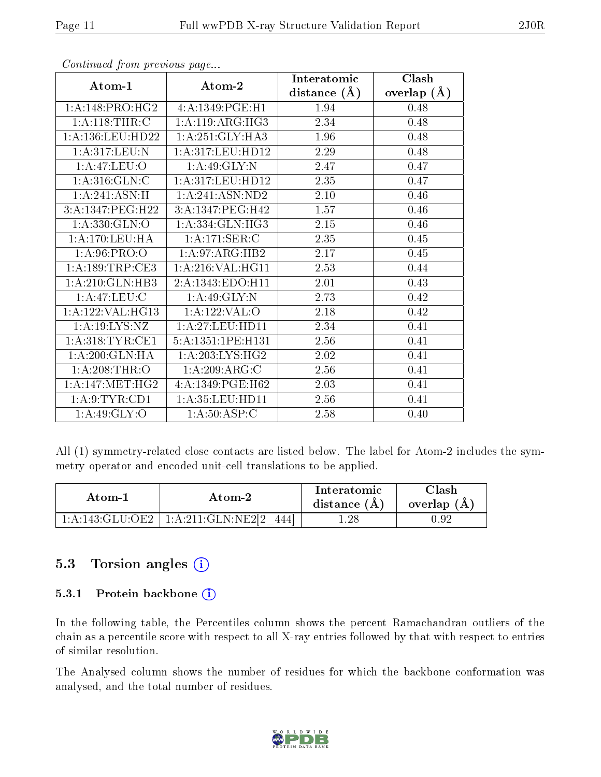|                            |                     | Interatomic    | Clash         |
|----------------------------|---------------------|----------------|---------------|
| Atom-1                     | Atom-2              | distance $(A)$ | overlap $(A)$ |
| 1:A:148:PRO:HG2            | 4:A:1349:PGE:H1     | 1.94           | 0.48          |
| 1: A:118:THR:C             | 1: A:119: ARG: HG3  | 2.34           | 0.48          |
| 1:A:136:LEU:HD22           | 1:A:251:GLY:HA3     | 1.96           | 0.48          |
| 1:A:317:LEU:N              | 1:A:317:LEU:HD12    | 2.29           | 0.48          |
| 1:A:47:LEU:O               | 1:A:49:GLY:N        | 2.47           | 0.47          |
| 1:A:316:GLN:C              | 1:A:317:LEU:HD12    | 2.35           | 0.47          |
| $1:A:241.\overline{ASN:H}$ | 1:A:241:ASN:ND2     | $2.10\,$       | 0.46          |
| 3:A:1347:PEG:H22           | 3:A:1347:PEG:H42    | 1.57           | 0.46          |
| 1:A:330:GLN:O              | 1: A: 334: GLN: HG3 | 2.15           | 0.46          |
| 1: A:170:LEU:HA            | 1:A:171:SER:C       | 2.35           | $0.45\,$      |
| 1: A:96: PRO:O             | 1: A:97: ARG: HB2   | 2.17           | 0.45          |
| 1: A: 189: TRP: CE3        | 1:A:216:VAL:HG11    | 2.53           | 0.44          |
| 1:A:210:GLN:HB3            | 2:A:1343:EDO:H11    | 2.01           | 0.43          |
| 1: A:47: LEU: C            | 1: A:49: GLY:N      | 2.73           | 0.42          |
| 1:A:122:VAL:HG13           | 1:A:122:VAL:O       | 2.18           | 0.42          |
| 1:A:19:LYS:NZ              | 1:A:27:LEU:HDI1     | $2.34\,$       | 0.41          |
| 1: A:318: TYR: CE1         | 5:A:1351:1PE:H131   | 2.56           | 0.41          |
| 1:A:200:GLN:HA             | 1:A:203:LYS:HG2     | 2.02           | 0.41          |
| 1: A:208:THR:O             | 1:A:209:ARG:C       | 2.56           | 0.41          |
| 1: A:147:MET:HG2           | 4:A:1349:PGE:H62    | 2.03           | 0.41          |
| 1: A:9: TYR: CD1           | $1:$ A:35:LEU:HD11  | 2.56           | 0.41          |
| 1: A:49: GLY:O             | 1: A:50: ASP:C      | $2.58\,$       | 0.40          |

Continued from previous page...

All (1) symmetry-related close contacts are listed below. The label for Atom-2 includes the symmetry operator and encoded unit-cell translations to be applied.

| Atom-1 | Atom-2                               | Interatomic<br>distance $(A)$ | $\gamma$ lash<br>overlap (A) |
|--------|--------------------------------------|-------------------------------|------------------------------|
|        | 1:A:143:GLU:OE2   1:A:211:GLN:NE2[2] | $1.28\,$                      |                              |

#### 5.3 Torsion angles (i)

#### 5.3.1 Protein backbone  $(i)$

In the following table, the Percentiles column shows the percent Ramachandran outliers of the chain as a percentile score with respect to all X-ray entries followed by that with respect to entries of similar resolution.

The Analysed column shows the number of residues for which the backbone conformation was analysed, and the total number of residues.

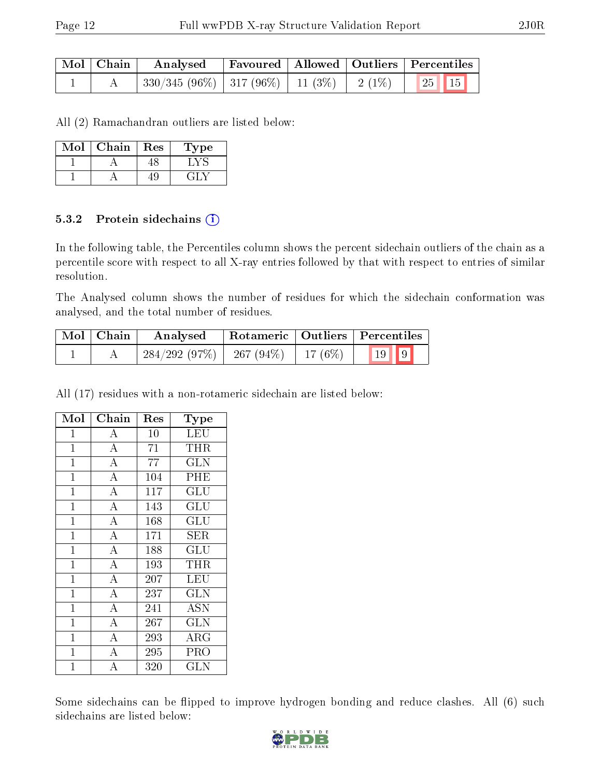| $\mid$ Mol $\mid$ Chain $\mid$ | Analysed |  | Favoured   Allowed   Outliers   Percentiles |
|--------------------------------|----------|--|---------------------------------------------|
|                                |          |  |                                             |

All (2) Ramachandran outliers are listed below:

| Mol | Chain | Res | Type |
|-----|-------|-----|------|
|     |       |     |      |
|     |       |     |      |

#### 5.3.2 Protein sidechains (i)

In the following table, the Percentiles column shows the percent sidechain outliers of the chain as a percentile score with respect to all X-ray entries followed by that with respect to entries of similar resolution.

The Analysed column shows the number of residues for which the sidechain conformation was analysed, and the total number of residues.

| Mol   Chain | Analysed                                 |  | Rotameric   Outliers   Percentiles |  |
|-------------|------------------------------------------|--|------------------------------------|--|
|             | $284/292$ (97\%)   267 (94\%)   17 (6\%) |  | $\vert 19 \vert \vert 9 \vert$     |  |

All (17) residues with a non-rotameric sidechain are listed below:

| Mol            | Chain              | Res | Type                      |
|----------------|--------------------|-----|---------------------------|
| 1              | А                  | 10  | <b>LEU</b>                |
| $\mathbf{1}$   | $\overline{\rm A}$ | 71  | THR                       |
| $\mathbf 1$    | $\overline{\rm A}$ | 77  | $\overline{\rm GLN}$      |
| $\mathbf{1}$   | $\bf{A}$           | 104 | PHE                       |
| $\mathbf{1}$   | $\overline{A}$     | 117 | $\overline{\mathrm{GLU}}$ |
| $\mathbf{1}$   | $\overline{\rm A}$ | 143 | GLU                       |
| $\mathbf{1}$   | $\overline{A}$     | 168 | $\overline{{\rm GLU}}$    |
| $\mathbf{1}$   | $\overline{A}$     | 171 | SER                       |
| $\mathbf{1}$   | $\overline{A}$     | 188 | GLU                       |
| $\mathbf{1}$   | $\overline{\rm A}$ | 193 | THR                       |
| $\mathbf{1}$   | $\overline{\rm A}$ | 207 | LEU                       |
| $\mathbf{1}$   | $\overline{A}$     | 237 | <b>GLN</b>                |
| $\overline{1}$ | $\overline{A}$     | 241 | <b>ASN</b>                |
| $\overline{1}$ | $\overline{\rm A}$ | 267 | $\overline{\text{GLN}}$   |
| $\mathbf{1}$   | $\overline{A}$     | 293 | ARG                       |
| $\mathbf{1}$   | $\overline{\rm A}$ | 295 | PRO                       |
| $\overline{1}$ | $\overline{\rm A}$ | 320 | $_{\rm GLN}$              |

Some sidechains can be flipped to improve hydrogen bonding and reduce clashes. All (6) such sidechains are listed below:

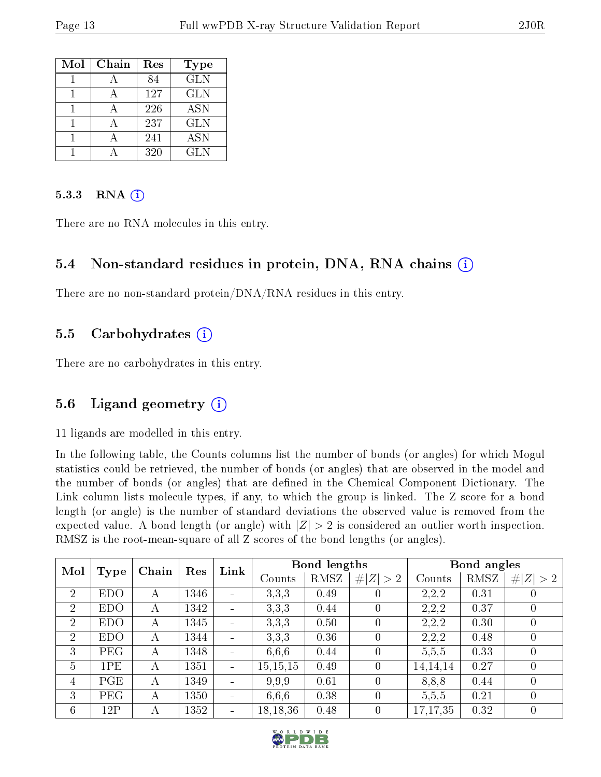| Mol | Chain | Res | <b>Type</b>             |
|-----|-------|-----|-------------------------|
|     |       | 84  | $\overline{\text{GLN}}$ |
|     |       | 127 | <b>GLN</b>              |
|     |       | 226 | <b>ASN</b>              |
|     |       | 237 | <b>GLN</b>              |
|     |       | 241 | <b>ASN</b>              |
|     |       | 320 | GLN                     |

#### 5.3.3 RNA $(i)$

There are no RNA molecules in this entry.

#### 5.4 Non-standard residues in protein, DNA, RNA chains (i)

There are no non-standard protein/DNA/RNA residues in this entry.

#### 5.5 Carbohydrates (i)

There are no carbohydrates in this entry.

#### 5.6 Ligand geometry  $(i)$

11 ligands are modelled in this entry.

In the following table, the Counts columns list the number of bonds (or angles) for which Mogul statistics could be retrieved, the number of bonds (or angles) that are observed in the model and the number of bonds (or angles) that are dened in the Chemical Component Dictionary. The Link column lists molecule types, if any, to which the group is linked. The Z score for a bond length (or angle) is the number of standard deviations the observed value is removed from the expected value. A bond length (or angle) with  $|Z| > 2$  is considered an outlier worth inspection. RMSZ is the root-mean-square of all Z scores of the bond lengths (or angles).

|                | Mol<br>Type |       | Res  | Link                     |            | <b>Bond lengths</b> |                  |            | Bond angles |                  |
|----------------|-------------|-------|------|--------------------------|------------|---------------------|------------------|------------|-------------|------------------|
|                |             | Chain |      |                          | Counts     | RMSZ                | # $ Z  > 2$      | Counts     | RMSZ        | # $ Z  > 2$      |
| $\overline{2}$ | <b>EDO</b>  | А     | 1346 |                          | 3,3,3      | 0.49                | $\left( \right)$ | 2,2,2      | 0.31        | O                |
| $\overline{2}$ | <b>EDO</b>  | А     | 1342 | $\blacksquare$           | 3,3,3      | 0.44                | $\Omega$         | 2,2,2      | 0.37        | $\left( \right)$ |
| $\overline{2}$ | <b>EDO</b>  | А     | 1345 | $\overline{\phantom{a}}$ | 3,3,3      | 0.50                | $\theta$         | 2,2,2      | 0.30        | 0                |
| $\overline{2}$ | <b>EDO</b>  | А     | 1344 |                          | 3,3,3      | 0.36                | $\theta$         | 2,2,2      | 0.48        | 0                |
| 3              | PEG         | А     | 1348 | $\sim$                   | 6,6,6      | 0.44                | $\theta$         | 5,5,5      | 0.33        | 0                |
| $\overline{5}$ | 1PE         | А     | 1351 |                          | 15, 15, 15 | 0.49                | $\theta$         | 14,14,14   | 0.27        | $\cup$           |
| 4              | PGE         | А     | 1349 | $\sim$                   | 9.9.9      | 0.61                | $\theta$         | 8,8,8      | 0.44        | $\theta$         |
| 3              | PEG         | А     | 1350 |                          | 6,6,6      | 0.38                | $\theta$         | 5,5,5      | 0.21        | $\theta$         |
| 6              | 12P         | А     | 1352 | ÷                        | 18, 18, 36 | 0.48                | $\theta$         | 17, 17, 35 | 0.32        | $\overline{0}$   |

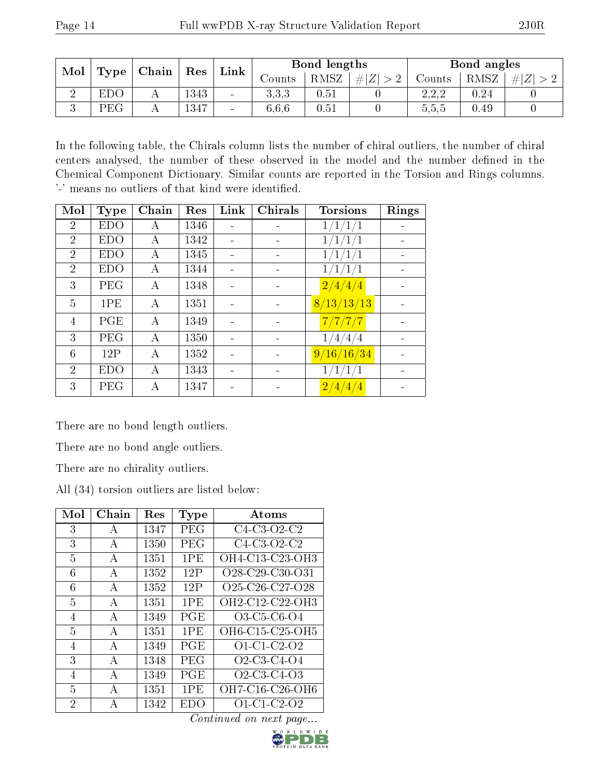| Mol | Type | $\vert$ Chain $\vert$ Res |          | Link   | Bond lengths |          |         | Bond angles |      |         |
|-----|------|---------------------------|----------|--------|--------------|----------|---------|-------------|------|---------|
|     |      |                           |          |        | Counts       | RMSZ     | $\# Z $ | Counts      | RMSZ | $\# Z $ |
|     | EDC  |                           | $1343\,$ | $\sim$ | 3.3.3        | 0.51     |         | 2.2.2       | 0.24 |         |
|     | PEG  | A                         | 1347     | $\sim$ | 6.6.6        | $0.51\,$ |         | 5,5,5       | 0.49 |         |

In the following table, the Chirals column lists the number of chiral outliers, the number of chiral centers analysed, the number of these observed in the model and the number defined in the Chemical Component Dictionary. Similar counts are reported in the Torsion and Rings columns. '-' means no outliers of that kind were identified.

| Mol            | Type       | Chain | Res  | Link | Chirals | <b>Torsions</b>           | Rings |
|----------------|------------|-------|------|------|---------|---------------------------|-------|
| $\overline{2}$ | <b>EDO</b> | А     | 1346 |      |         | 1/1/1/1                   |       |
| $\overline{2}$ | <b>EDO</b> | А     | 1342 |      |         | $^{\prime}1/1/1$          |       |
| $\overline{2}$ | <b>EDO</b> | А     | 1345 |      |         | 1/1/1/1                   |       |
| $\overline{2}$ | <b>EDO</b> | А     | 1344 |      |         | 1/1/1/1                   |       |
| 3              | PEG        | А     | 1348 |      |         | $\sqrt{2/4/4/4}$          |       |
| 5              | 1PE        | А     | 1351 |      |         | 8/13/13/13                |       |
| 4              | PGE        | А     | 1349 |      |         | 7/7/7/7                   |       |
| 3              | PEG        | А     | 1350 |      |         | 1/4/4/4                   |       |
| 6              | 12P        | А     | 1352 |      |         | 9/16/16/34                |       |
| $\overline{2}$ | <b>EDO</b> | А     | 1343 |      |         | 1/1/1/1                   |       |
| 3              | PEG        | А     | 1347 |      |         | $\frac{2}{4}/\frac{4}{4}$ |       |

There are no bond length outliers.

There are no bond angle outliers.

There are no chirality outliers.

All (34) torsion outliers are listed below:

| $\operatorname{Mol}$ | Chain        | Res  | <b>Type</b> | Atoms                                                          |
|----------------------|--------------|------|-------------|----------------------------------------------------------------|
| 3                    | А            | 1347 | PEG         | $C4-C3-O2-C2$                                                  |
| 3                    | A            | 1350 | PEG         | $C4-C3-O2-C2$                                                  |
| 5                    | А            | 1351 | 1PE         | OH4-C13-C23-OH3                                                |
| 6                    | A            | 1352 | 12P         | $O28-C29-C30-C31$                                              |
| 6                    | А            | 1352 | 12P         | O25-C26-C27-O28                                                |
| 5                    | $\mathbf{A}$ | 1351 | 1PE         | OH2-C12-C22-OH3                                                |
| 4                    | A            | 1349 | PGE         | O3-C5-C6-O4                                                    |
| 5                    | A            | 1351 | 1PE         | OH6-C15-C25-OH5                                                |
| 4                    | A            | 1349 | PGE         | $O1 \text{ } C1 \text{ } C2 \text{ } O2$                       |
| 3                    | $\mathbf{A}$ | 1348 | PEG         | O <sub>2</sub> -C <sub>3</sub> -C <sub>4</sub> -O <sub>4</sub> |
| 4                    | A            | 1349 | PGE         | O2-C3-C4-O3                                                    |
| 5                    | A            | 1351 | 1PE         | OH7-C16-C26-OH6                                                |
| 2                    | А            | 1342 | EDO         | $O1$ -C1-C2- $O2$                                              |

Continued on next page...

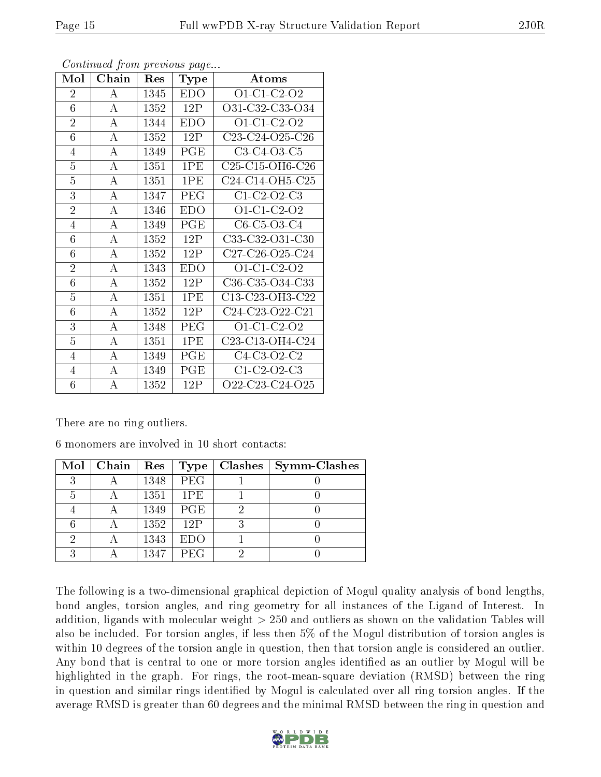| Mol             | Chain              | Res  | Type | Atoms             |
|-----------------|--------------------|------|------|-------------------|
| $\overline{2}$  | А                  | 1345 | EDO. | O1-C1-C2-O2       |
| 6               | $\mathbf{A}$       | 1352 | 12P  | O31-C32-C33-O34   |
| $\overline{2}$  | А                  | 1344 | EDO  | O1-C1-C2-O2       |
| 6               | $\bf{A}$           | 1352 | 12P  | C23-C24-O25-C26   |
| $\overline{4}$  | A                  | 1349 | PGE  | $C3-C4-O3-C5$     |
| $\overline{5}$  | А                  | 1351 | 1PE  | $C25-C15-OH6-C26$ |
| $\overline{5}$  | $\boldsymbol{A}$   | 1351 | 1PE  | C24-C14-OH5-C25   |
| 3               | А                  | 1347 | PEG  | $C1-C2-O2-C3$     |
| $\overline{2}$  | А                  | 1346 | EDO  | $O1-C1-C2-O2$     |
| $\overline{4}$  | $\overline{\rm A}$ | 1349 | PGE  | $C6-C5-C3-C4$     |
| 6               | А                  | 1352 | 12P  | C33-C32-O31-C30   |
| 6               | A                  | 1352 | 12P  | $C27-C26-O25-C24$ |
| $\overline{2}$  | А                  | 1343 | EDO  | O1-C1-C2-O2       |
| 6               | А                  | 1352 | 12P  | C36-C35-O34-C33   |
| $\overline{5}$  | А                  | 1351 | 1PE  | C13-C23-OH3-C22   |
| $6\phantom{.}6$ | A                  | 1352 | 12P  | C24-C23-O22-C21   |
| 3               | A                  | 1348 | PEG  | O1-C1-C2-O2       |
| $\overline{5}$  | А                  | 1351 | 1PE  | C23-C13-OH4-C24   |
| 4               | А                  | 1349 | PGE  | $C4-C3-O2-C2$     |
| $\overline{4}$  | A                  | 1349 | PGE  | $C1-C2-O2-C3$     |
| 6               | $\overline{\rm A}$ | 1352 | 12P  | O22-C23-C24-O25   |

Continued from previous page...

There are no ring outliers.

6 monomers are involved in 10 short contacts:

|   | $Mol$   Chain | Res  | Type       | Clashes | <b>Symm-Clashes</b> |
|---|---------------|------|------------|---------|---------------------|
| 3 |               | 1348 | PEG        |         |                     |
| 5 |               | 1351 | 1PE        |         |                     |
|   |               | 1349 | <b>PGE</b> |         |                     |
|   |               | 1352 | 12P        |         |                     |
| 2 |               | 1343 | <b>EDO</b> |         |                     |
| 2 |               | 1347 | PEG        |         |                     |

The following is a two-dimensional graphical depiction of Mogul quality analysis of bond lengths, bond angles, torsion angles, and ring geometry for all instances of the Ligand of Interest. In addition, ligands with molecular weight > 250 and outliers as shown on the validation Tables will also be included. For torsion angles, if less then 5% of the Mogul distribution of torsion angles is within 10 degrees of the torsion angle in question, then that torsion angle is considered an outlier. Any bond that is central to one or more torsion angles identified as an outlier by Mogul will be highlighted in the graph. For rings, the root-mean-square deviation (RMSD) between the ring in question and similar rings identified by Mogul is calculated over all ring torsion angles. If the average RMSD is greater than 60 degrees and the minimal RMSD between the ring in question and

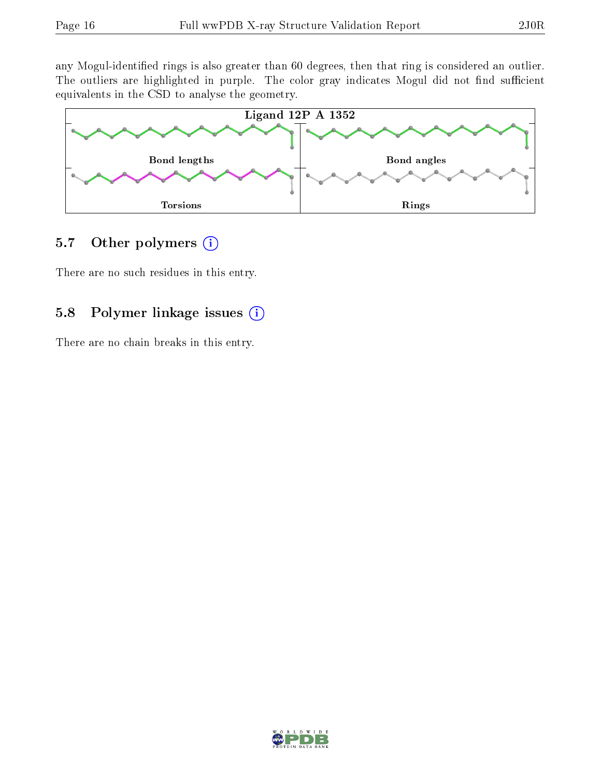any Mogul-identified rings is also greater than 60 degrees, then that ring is considered an outlier. The outliers are highlighted in purple. The color gray indicates Mogul did not find sufficient equivalents in the CSD to analyse the geometry.



#### 5.7 [O](https://www.wwpdb.org/validation/2017/XrayValidationReportHelp#nonstandard_residues_and_ligands)ther polymers  $(i)$

There are no such residues in this entry.

### 5.8 Polymer linkage issues (i)

There are no chain breaks in this entry.

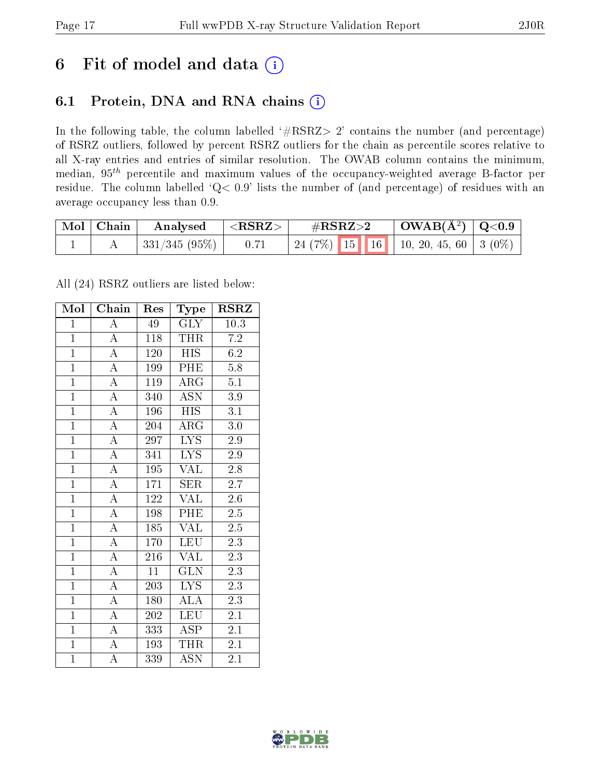### 6 Fit of model and data  $(i)$

### 6.1 Protein, DNA and RNA chains  $(i)$

In the following table, the column labelled  $#RSRZ> 2'$  contains the number (and percentage) of RSRZ outliers, followed by percent RSRZ outliers for the chain as percentile scores relative to all X-ray entries and entries of similar resolution. The OWAB column contains the minimum, median,  $95<sup>th</sup>$  percentile and maximum values of the occupancy-weighted average B-factor per residue. The column labelled ' $Q< 0.9$ ' lists the number of (and percentage) of residues with an average occupancy less than 0.9.

| $\mid$ Mol $\mid$ Chain | Analysed      | $\mid$ <rsrz></rsrz> | $\rm \#RSRZ{>}2$                            | $\mid$ OWAB(Å <sup>2</sup> ) $\mid$ Q<0.9 |  |
|-------------------------|---------------|----------------------|---------------------------------------------|-------------------------------------------|--|
|                         | 331/345 (95%) | 0.71                 | 24 (7%)   15   16   10, 20, 45, 60   3 (0%) |                                           |  |

All (24) RSRZ outliers are listed below:

| Mol            | Chain                   | Res | Type                      | <b>RSRZ</b>      |  |
|----------------|-------------------------|-----|---------------------------|------------------|--|
| $\mathbf{1}$   | $\boldsymbol{A}$        | 49  | <b>GLY</b>                | 10.3             |  |
| $\mathbf{1}$   | $\overline{A}$          | 118 | <b>THR</b>                | 7.2              |  |
| $\mathbf{1}$   | $\overline{A}$          | 120 | <b>HIS</b>                | 6.2              |  |
| $\overline{1}$ | $\overline{A}$          | 199 | PHE                       | 5.8              |  |
| $\overline{1}$ | $\overline{A}$          | 119 | $\rm{ARG}$                | $\overline{5.1}$ |  |
| $\overline{1}$ | $\overline{A}$          | 340 | <b>ASN</b>                | $3.9\,$          |  |
| $\overline{1}$ | $\overline{\rm A}$      | 196 | HIS                       | 3.1              |  |
| $\overline{1}$ | $\overline{A}$          | 204 | ${\rm ARG}$               | $3.0\,$          |  |
| $\overline{1}$ | $\overline{\rm A}$      | 297 | <b>LYS</b>                | 2.9              |  |
| $\overline{1}$ | $\overline{A}$          | 341 | $\overline{\text{LYS}}$   | 2.9              |  |
| $\mathbf{1}$   | $\overline{\rm A}$      | 195 | VAL                       | 2.8              |  |
| $\overline{1}$ | $\overline{\rm A}$      | 171 | SER                       | $2.\overline{7}$ |  |
| $\overline{1}$ | $\overline{\mathbf{A}}$ | 122 | <b>VAL</b>                | 2.6              |  |
| $\overline{1}$ | $\overline{A}$          | 198 | PHE                       | $2.\overline{5}$ |  |
| $\overline{1}$ | $\overline{A}$          | 185 | VAL                       | 2.5              |  |
| $\overline{1}$ | $\overline{\rm A}$      | 170 | <b>LEU</b>                | 2.3              |  |
| $\overline{1}$ | $\overline{\rm A}$      | 216 | <b>VAL</b>                | 2.3              |  |
| $\overline{1}$ | $\overline{\rm A}$      | 11  | <b>GLN</b>                | 2.3              |  |
| $\overline{1}$ | $\overline{\rm A}$      | 203 | L <sub>YS</sub>           | 2.3              |  |
| $\overline{1}$ | $\overline{A}$          | 180 | $\overline{\text{ALA}}$   | 2.3              |  |
| $\overline{1}$ | $\overline{\rm A}$      | 202 | <b>LEU</b>                | 2.1              |  |
| $\overline{1}$ | $\overline{\rm A}$      | 333 | $\overline{\text{ASP}}$   | 2.1              |  |
| $\overline{1}$ | $\overline{\rm A}$      | 193 | <b>THR</b>                | 2.1              |  |
| $\overline{1}$ | $\overline{\rm A}$      | 339 | $\overline{\mathrm{ASN}}$ | 2.1              |  |

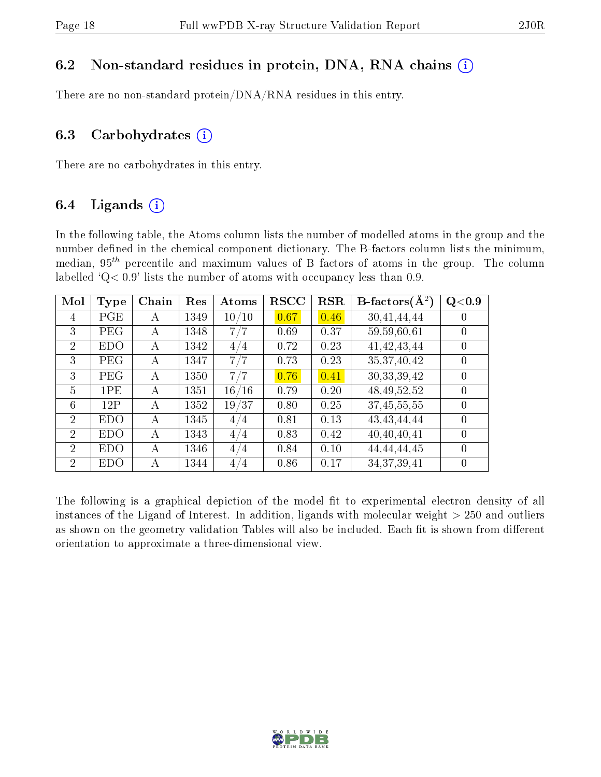#### 6.2 Non-standard residues in protein, DNA, RNA chains  $(i)$

There are no non-standard protein/DNA/RNA residues in this entry.

#### 6.3 Carbohydrates  $(i)$

There are no carbohydrates in this entry.

#### 6.4 Ligands  $(i)$

In the following table, the Atoms column lists the number of modelled atoms in the group and the number defined in the chemical component dictionary. The B-factors column lists the minimum, median,  $95<sup>th</sup>$  percentile and maximum values of B factors of atoms in the group. The column labelled  $Q< 0.9$ ' lists the number of atoms with occupancy less than 0.9.

| Mol            | <b>Type</b> | Chain | Res  | Atoms | <b>RSCC</b> | <b>RSR</b> | $B\text{-}factors(\overline{A^2})$ | Q <sub>0.9</sub> |
|----------------|-------------|-------|------|-------|-------------|------------|------------------------------------|------------------|
| 4              | PGE         | A     | 1349 | 10/10 | 0.67        | 0.46       | 30,41,44,44                        | $\theta$         |
| 3              | PEG         | А     | 1348 | 7/7   | 0.69        | 0.37       | 59,59,60,61                        | $\theta$         |
| $\overline{2}$ | <b>EDO</b>  | А     | 1342 | 4/4   | 0.72        | 0.23       | 41, 42, 43, 44                     | $\theta$         |
| 3              | PEG         | А     | 1347 | 7/7   | 0.73        | 0.23       | 35, 37, 40, 42                     | $\left( \right)$ |
| 3              | PEG         | А     | 1350 | 7/7   | 0.76        | 0.41       | 30, 33, 39, 42                     | $\theta$         |
| $\overline{5}$ | 1PE         | А     | 1351 | 16/16 | 0.79        | 0.20       | 48, 49, 52, 52                     | $\theta$         |
| 6              | 12P         | A     | 1352 | 19/37 | 0.80        | 0.25       | 37,45,55,55                        | $\theta$         |
| $\overline{2}$ | <b>EDO</b>  | А     | 1345 | 4/4   | 0.81        | 0.13       | 43, 43, 44, 44                     | $\theta$         |
| $\overline{2}$ | <b>EDO</b>  | А     | 1343 | 4/4   | 0.83        | 0.42       | 40,40,40,41                        | $\theta$         |
| $\overline{2}$ | <b>EDO</b>  | А     | 1346 | 4/4   | 0.84        | 0.10       | 44, 44, 44, 45                     | $\theta$         |
| $\overline{2}$ | EDO         | А     | 1344 | 4/4   | 0.86        | 0.17       | 34, 37, 39, 41                     | 0                |

The following is a graphical depiction of the model fit to experimental electron density of all instances of the Ligand of Interest. In addition, ligands with molecular weight  $> 250$  and outliers as shown on the geometry validation Tables will also be included. Each fit is shown from different orientation to approximate a three-dimensional view.